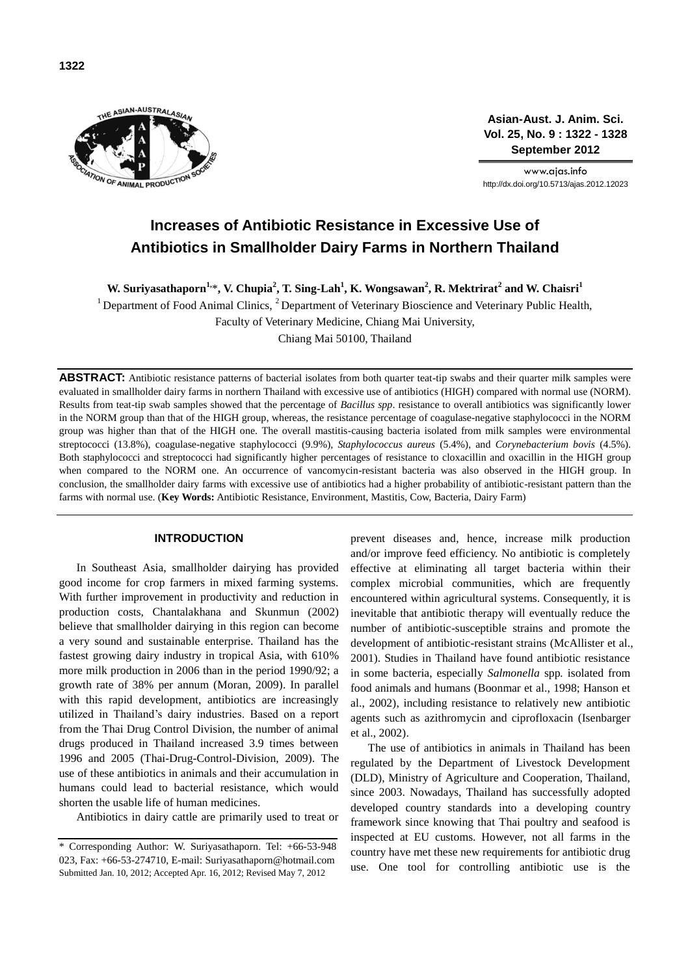

**Asian-Aust. J. Anim. Sci. Vol. 25, No. 9 : 1322 - 1328 September 2012**

www.ajas.info http://dx.doi.org/10.5713/ajas.2012.12023

# **Increases of Antibiotic Resistance in Excessive Use of Antibiotics in Smallholder Dairy Farms in Northern Thailand**

**W. Suriyasathaporn1,** \***, V. Chupia<sup>2</sup> , T. Sing-Lah<sup>1</sup> , K. Wongsawan<sup>2</sup> , R. Mektrirat<sup>2</sup> and W. Chaisri<sup>1</sup>**

<sup>1</sup> Department of Food Animal Clinics,  ${}^{2}$  Department of Veterinary Bioscience and Veterinary Public Health,

Faculty of Veterinary Medicine, Chiang Mai University,

Chiang Mai 50100, Thailand

**ABSTRACT:** Antibiotic resistance patterns of bacterial isolates from both quarter teat-tip swabs and their quarter milk samples were evaluated in smallholder dairy farms in northern Thailand with excessive use of antibiotics (HIGH) compared with normal use (NORM). Results from teat-tip swab samples showed that the percentage of *Bacillus spp*. resistance to overall antibiotics was significantly lower in the NORM group than that of the HIGH group, whereas, the resistance percentage of coagulase-negative staphylococci in the NORM group was higher than that of the HIGH one. The overall mastitis-causing bacteria isolated from milk samples were environmental streptococci (13.8%), coagulase-negative staphylococci (9.9%), *Staphylococcus aureus* (5.4%), and *Corynebacterium bovis* (4.5%). Both staphylococci and streptococci had significantly higher percentages of resistance to cloxacillin and oxacillin in the HIGH group when compared to the NORM one. An occurrence of vancomycin-resistant bacteria was also observed in the HIGH group. In conclusion, the smallholder dairy farms with excessive use of antibiotics had a higher probability of antibiotic-resistant pattern than the farms with normal use. (**Key Words:** Antibiotic Resistance, Environment, Mastitis, Cow, Bacteria, Dairy Farm)

# **INTRODUCTION**

In Southeast Asia, smallholder dairying has provided good income for crop farmers in mixed farming systems. With further improvement in productivity and reduction in production costs, Chantalakhana and Skunmun (2002) believe that smallholder dairying in this region can become a very sound and sustainable enterprise. Thailand has the fastest growing dairy industry in tropical Asia, with 610% more milk production in 2006 than in the period 1990/92; a growth rate of 38% per annum (Moran, 2009). In parallel with this rapid development, antibiotics are increasingly utilized in Thailand's dairy industries. Based on a report from the Thai Drug Control Division, the number of animal drugs produced in Thailand increased 3.9 times between 1996 and 2005 (Thai-Drug-Control-Division, 2009). The use of these antibiotics in animals and their accumulation in humans could lead to bacterial resistance, which would shorten the usable life of human medicines.

Antibiotics in dairy cattle are primarily used to treat or

prevent diseases and, hence, increase milk production and/or improve feed efficiency. No antibiotic is completely effective at eliminating all target bacteria within their complex microbial communities, which are frequently encountered within agricultural systems. Consequently, it is inevitable that antibiotic therapy will eventually reduce the number of antibiotic-susceptible strains and promote the development of antibiotic-resistant strains (McAllister et al., 2001). Studies in Thailand have found antibiotic resistance in some bacteria, especially *Salmonella* spp*.* isolated from food animals and humans (Boonmar et al., 1998; Hanson et al., 2002), including resistance to relatively new antibiotic agents such as azithromycin and ciprofloxacin (Isenbarger et al., 2002).

The use of antibiotics in animals in Thailand has been regulated by the Department of Livestock Development (DLD), Ministry of Agriculture and Cooperation, Thailand, since 2003. Nowadays, Thailand has successfully adopted developed country standards into a developing country framework since knowing that Thai poultry and seafood is inspected at EU customs. However, not all farms in the country have met these new requirements for antibiotic drug use. One tool for controlling antibiotic use is the

<sup>\*</sup> Corresponding Author: W. Suriyasathaporn. Tel: +66-53-948 023, Fax: +66-53-274710, E-mail: Suriyasathaporn@hotmail.com Submitted Jan. 10, 2012; Accepted Apr. 16, 2012; Revised May 7, 2012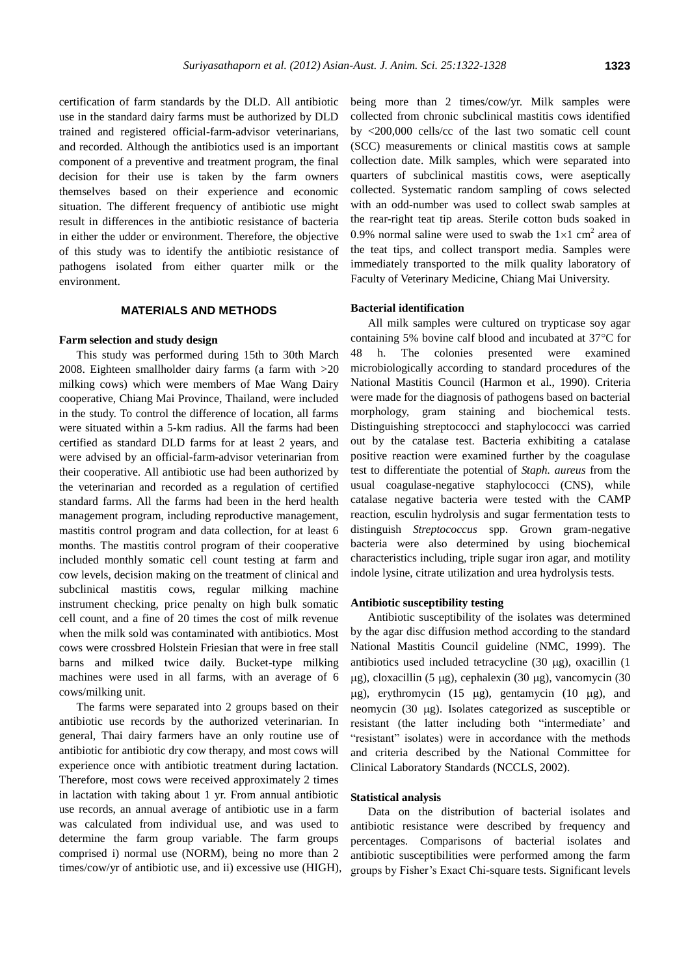certification of farm standards by the DLD. All antibiotic use in the standard dairy farms must be authorized by DLD trained and registered official-farm-advisor veterinarians, and recorded. Although the antibiotics used is an important component of a preventive and treatment program, the final decision for their use is taken by the farm owners themselves based on their experience and economic situation. The different frequency of antibiotic use might result in differences in the antibiotic resistance of bacteria in either the udder or environment. Therefore, the objective of this study was to identify the antibiotic resistance of pathogens isolated from either quarter milk or the environment.

# **MATERIALS AND METHODS**

#### **Farm selection and study design**

This study was performed during 15th to 30th March 2008. Eighteen smallholder dairy farms (a farm with >20 milking cows) which were members of Mae Wang Dairy cooperative, Chiang Mai Province, Thailand, were included in the study. To control the difference of location, all farms were situated within a 5-km radius. All the farms had been certified as standard DLD farms for at least 2 years, and were advised by an official-farm-advisor veterinarian from their cooperative. All antibiotic use had been authorized by the veterinarian and recorded as a regulation of certified standard farms. All the farms had been in the herd health management program, including reproductive management, mastitis control program and data collection, for at least 6 months. The mastitis control program of their cooperative included monthly somatic cell count testing at farm and cow levels, decision making on the treatment of clinical and subclinical mastitis cows, regular milking machine instrument checking, price penalty on high bulk somatic cell count, and a fine of 20 times the cost of milk revenue when the milk sold was contaminated with antibiotics. Most cows were crossbred Holstein Friesian that were in free stall barns and milked twice daily. Bucket-type milking machines were used in all farms, with an average of 6 cows/milking unit.

The farms were separated into 2 groups based on their antibiotic use records by the authorized veterinarian. In general, Thai dairy farmers have an only routine use of antibiotic for antibiotic dry cow therapy, and most cows will experience once with antibiotic treatment during lactation. Therefore, most cows were received approximately 2 times in lactation with taking about 1 yr. From annual antibiotic use records, an annual average of antibiotic use in a farm was calculated from individual use, and was used to determine the farm group variable. The farm groups comprised i) normal use (NORM), being no more than 2 times/cow/yr of antibiotic use, and ii) excessive use (HIGH),

being more than 2 times/cow/yr. Milk samples were collected from chronic subclinical mastitis cows identified by <200,000 cells/cc of the last two somatic cell count (SCC) measurements or clinical mastitis cows at sample collection date. Milk samples, which were separated into quarters of subclinical mastitis cows, were aseptically collected. Systematic random sampling of cows selected with an odd-number was used to collect swab samples at the rear-right teat tip areas. Sterile cotton buds soaked in 0.9% normal saline were used to swab the  $1\times1$  cm<sup>2</sup> area of the teat tips, and collect transport media. Samples were immediately transported to the milk quality laboratory of Faculty of Veterinary Medicine, Chiang Mai University.

#### **Bacterial identification**

All milk samples were cultured on trypticase soy agar containing 5% bovine calf blood and incubated at  $37^{\circ}$ C for 48 h. The colonies presented were examined microbiologically according to standard procedures of the National Mastitis Council (Harmon et al., 1990). Criteria were made for the diagnosis of pathogens based on bacterial morphology, gram staining and biochemical tests. Distinguishing streptococci and staphylococci was carried out by the catalase test. Bacteria exhibiting a catalase positive reaction were examined further by the coagulase test to differentiate the potential of *Staph. aureus* from the usual coagulase-negative staphylococci (CNS), while catalase negative bacteria were tested with the CAMP reaction, esculin hydrolysis and sugar fermentation tests to distinguish *Streptococcus* spp. Grown gram-negative bacteria were also determined by using biochemical characteristics including, triple sugar iron agar, and motility indole lysine, citrate utilization and urea hydrolysis tests.

# **Antibiotic susceptibility testing**

Antibiotic susceptibility of the isolates was determined by the agar disc diffusion method according to the standard National Mastitis Council guideline (NMC, 1999). The antibiotics used included tetracycline  $(30 \mu g)$ , oxacillin  $(1$  $\mu$ g), cloxacillin (5  $\mu$ g), cephalexin (30  $\mu$ g), vancomycin (30  $\mu$ g), erythromycin (15  $\mu$ g), gentamycin (10  $\mu$ g), and neomycin  $(30 \mu g)$ . Isolates categorized as susceptible or resistant (the latter including both "intermediate' and "resistant" isolates) were in accordance with the methods and criteria described by the National Committee for Clinical Laboratory Standards (NCCLS, 2002).

### **Statistical analysis**

Data on the distribution of bacterial isolates and antibiotic resistance were described by frequency and percentages. Comparisons of bacterial isolates and antibiotic susceptibilities were performed among the farm groups by Fisher's Exact Chi-square tests. Significant levels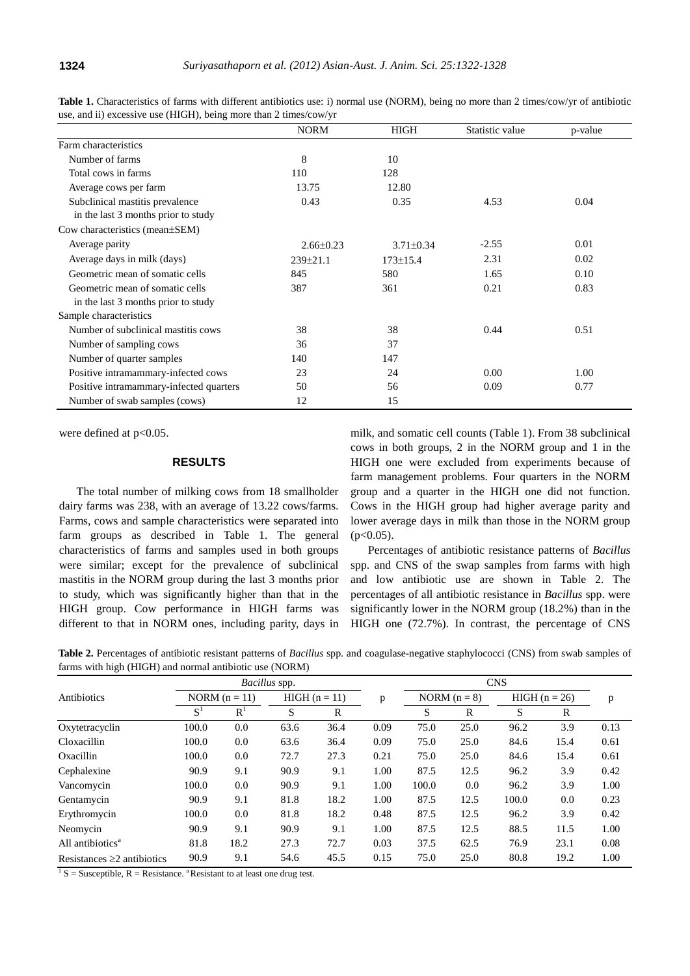|                                         | <b>NORM</b>     | HIGH            | Statistic value | p-value |
|-----------------------------------------|-----------------|-----------------|-----------------|---------|
| Farm characteristics                    |                 |                 |                 |         |
| Number of farms                         | 8               | 10              |                 |         |
| Total cows in farms                     | 110             | 128             |                 |         |
| Average cows per farm                   | 13.75           | 12.80           |                 |         |
| Subclinical mastitis prevalence         | 0.43            | 0.35            | 4.53            | 0.04    |
| in the last 3 months prior to study     |                 |                 |                 |         |
| Cow characteristics (mean±SEM)          |                 |                 |                 |         |
| Average parity                          | $2.66 \pm 0.23$ | $3.71 \pm 0.34$ | $-2.55$         | 0.01    |
| Average days in milk (days)             | $239 \pm 21.1$  | $173 \pm 15.4$  | 2.31            | 0.02    |
| Geometric mean of somatic cells         | 845             | 580             | 1.65            | 0.10    |
| Geometric mean of somatic cells         | 387             | 361             | 0.21            | 0.83    |
| in the last 3 months prior to study     |                 |                 |                 |         |
| Sample characteristics                  |                 |                 |                 |         |
| Number of subclinical mastitis cows     | 38              | 38              | 0.44            | 0.51    |
| Number of sampling cows                 | 36              | 37              |                 |         |
| Number of quarter samples               | 140             | 147             |                 |         |
| Positive intramammary-infected cows     | 23              | 24              | 0.00            | 1.00    |
| Positive intramammary-infected quarters | 50              | 56              | 0.09            | 0.77    |
| Number of swab samples (cows)           | 12              | 15              |                 |         |

**Table 1.** Characteristics of farms with different antibiotics use: i) normal use (NORM), being no more than 2 times/cow/yr of antibiotic use, and ii) excessive use (HIGH), being more than 2 times/cow/yr

were defined at  $p<0.05$ .

# **RESULTS**

The total number of milking cows from 18 smallholder dairy farms was 238, with an average of 13.22 cows/farms. Farms, cows and sample characteristics were separated into farm groups as described in Table 1. The general characteristics of farms and samples used in both groups were similar; except for the prevalence of subclinical mastitis in the NORM group during the last 3 months prior to study, which was significantly higher than that in the HIGH group. Cow performance in HIGH farms was different to that in NORM ones, including parity, days in

milk, and somatic cell counts (Table 1). From 38 subclinical cows in both groups, 2 in the NORM group and 1 in the HIGH one were excluded from experiments because of farm management problems. Four quarters in the NORM group and a quarter in the HIGH one did not function. Cows in the HIGH group had higher average parity and lower average days in milk than those in the NORM group  $(p<0.05)$ .

Percentages of antibiotic resistance patterns of *Bacillus* spp. and CNS of the swap samples from farms with high and low antibiotic use are shown in Table 2. The percentages of all antibiotic resistance in *Bacillus* spp. were significantly lower in the NORM group (18.2%) than in the HIGH one (72.7%). In contrast, the percentage of CNS

| Table 2. Percentages of antibiotic resistant patterns of <i>Bacillus</i> spp. and coagulase-negative staphylococci (CNS) from swab samples of |  |  |  |  |  |
|-----------------------------------------------------------------------------------------------------------------------------------------------|--|--|--|--|--|
| farms with high (HIGH) and normal antibiotic use (NORM)                                                                                       |  |  |  |  |  |

|                                  | Bacillus spp.   |                |                 |      |      | <b>CNS</b>     |      |                 |      |      |
|----------------------------------|-----------------|----------------|-----------------|------|------|----------------|------|-----------------|------|------|
| Antibiotics                      | NORM $(n = 11)$ |                | $HIGH (n = 11)$ |      | p    | NORM $(n = 8)$ |      | $HIGH (n = 26)$ |      | p    |
|                                  | $S^1$           | R <sup>1</sup> | S               | R    |      | S              | R    | S               | R    |      |
| Oxytetracyclin                   | 100.0           | 0.0            | 63.6            | 36.4 | 0.09 | 75.0           | 25.0 | 96.2            | 3.9  | 0.13 |
| Cloxacillin                      | 100.0           | 0.0            | 63.6            | 36.4 | 0.09 | 75.0           | 25.0 | 84.6            | 15.4 | 0.61 |
| Oxacillin                        | 100.0           | 0.0            | 72.7            | 27.3 | 0.21 | 75.0           | 25.0 | 84.6            | 15.4 | 0.61 |
| Cephalexine                      | 90.9            | 9.1            | 90.9            | 9.1  | 1.00 | 87.5           | 12.5 | 96.2            | 3.9  | 0.42 |
| Vancomycin                       | 100.0           | 0.0            | 90.9            | 9.1  | 1.00 | 100.0          | 0.0  | 96.2            | 3.9  | 1.00 |
| Gentamycin                       | 90.9            | 9.1            | 81.8            | 18.2 | 1.00 | 87.5           | 12.5 | 100.0           | 0.0  | 0.23 |
| Erythromycin                     | 100.0           | 0.0            | 81.8            | 18.2 | 0.48 | 87.5           | 12.5 | 96.2            | 3.9  | 0.42 |
| Neomycin                         | 90.9            | 9.1            | 90.9            | 9.1  | 1.00 | 87.5           | 12.5 | 88.5            | 11.5 | 1.00 |
| All antibiotics <sup>a</sup>     | 81.8            | 18.2           | 27.3            | 72.7 | 0.03 | 37.5           | 62.5 | 76.9            | 23.1 | 0.08 |
| Resistances $\geq 2$ antibiotics | 90.9            | 9.1            | 54.6            | 45.5 | 0.15 | 75.0           | 25.0 | 80.8            | 19.2 | 1.00 |

 $1 S =$  Susceptible, R = Resistance. <sup>a</sup> Resistant to at least one drug test.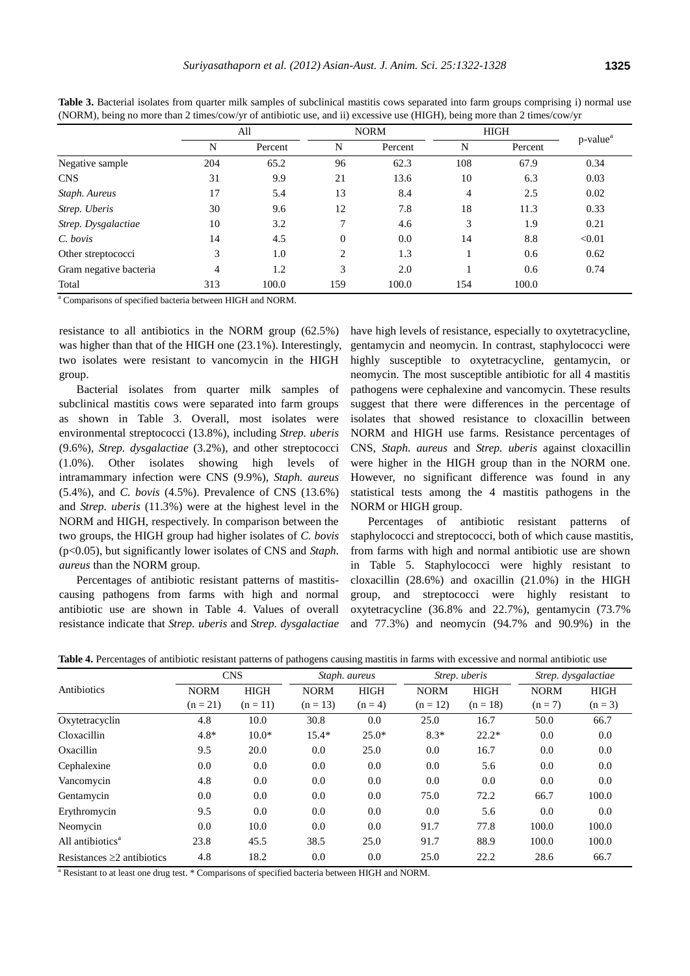|                        | All            |         |                | <b>NORM</b> | <b>HIGH</b>    |         |                                      |
|------------------------|----------------|---------|----------------|-------------|----------------|---------|--------------------------------------|
|                        | N              | Percent | N              | Percent     | N              | Percent | $p$ -value <sup><math>a</math></sup> |
| Negative sample        | 204            | 65.2    | 96             | 62.3        | 108            | 67.9    | 0.34                                 |
| <b>CNS</b>             | 31             | 9.9     | 21             | 13.6        | 10             | 6.3     | 0.03                                 |
| Staph. Aureus          | 17             | 5.4     | 13             | 8.4         | $\overline{4}$ | 2.5     | 0.02                                 |
| Strep. Uberis          | 30             | 9.6     | 12             | 7.8         | 18             | 11.3    | 0.33                                 |
| Strep. Dysgalactiae    | 10             | 3.2     | 7              | 4.6         | 3              | 1.9     | 0.21                                 |
| $C.$ bovis             | 14             | 4.5     | $\overline{0}$ | 0.0         | 14             | 8.8     | < 0.01                               |
| Other streptococci     | 3              | 1.0     | 2              | 1.3         |                | 0.6     | 0.62                                 |
| Gram negative bacteria | $\overline{4}$ | 1.2     | 3              | 2.0         |                | 0.6     | 0.74                                 |
| Total                  | 313            | 100.0   | 159            | 100.0       | 154            | 100.0   |                                      |

**Table 3.** Bacterial isolates from quarter milk samples of subclinical mastitis cows separated into farm groups comprising i) normal use (NORM), being no more than 2 times/cow/yr of antibiotic use, and ii) excessive use (HIGH), being more than 2 times/cow/yr

<sup>a</sup> Comparisons of specified bacteria between HIGH and NORM.

resistance to all antibiotics in the NORM group (62.5%) was higher than that of the HIGH one (23.1%). Interestingly, two isolates were resistant to vancomycin in the HIGH group.

Bacterial isolates from quarter milk samples of subclinical mastitis cows were separated into farm groups as shown in Table 3. Overall, most isolates were environmental streptococci (13.8%), including *Strep. uberis* (9.6%), *Strep. dysgalactiae* (3.2%), and other streptococci (1.0%). Other isolates showing high levels of intramammary infection were CNS (9.9%), *Staph. aureus* (5.4%), and *C. bovis* (4.5%). Prevalence of CNS (13.6%) and *Strep. uberis* (11.3%) were at the highest level in the NORM and HIGH, respectively. In comparison between the two groups, the HIGH group had higher isolates of *C. bovis* (p<0.05), but significantly lower isolates of CNS and *Staph. aureus* than the NORM group.

Percentages of antibiotic resistant patterns of mastitiscausing pathogens from farms with high and normal antibiotic use are shown in Table 4. Values of overall resistance indicate that *Strep. uberis* and *Strep. dysgalactiae* have high levels of resistance, especially to oxytetracycline, gentamycin and neomycin. In contrast, staphylococci were highly susceptible to oxytetracycline, gentamycin, or neomycin. The most susceptible antibiotic for all 4 mastitis pathogens were cephalexine and vancomycin. These results suggest that there were differences in the percentage of isolates that showed resistance to cloxacillin between NORM and HIGH use farms. Resistance percentages of CNS, *Staph. aureus* and *Strep. uberis* against cloxacillin were higher in the HIGH group than in the NORM one. However, no significant difference was found in any statistical tests among the 4 mastitis pathogens in the NORM or HIGH group.

Percentages of antibiotic resistant patterns of staphylococci and streptococci, both of which cause mastitis, from farms with high and normal antibiotic use are shown in Table 5. Staphylococci were highly resistant to cloxacillin (28.6%) and oxacillin (21.0%) in the HIGH group, and streptococci were highly resistant to oxytetracycline (36.8% and 22.7%), gentamycin (73.7% and 77.3%) and neomycin (94.7% and 90.9%) in the

|                                  | <b>CNS</b>                |                           |                           | Staph. aureus            |                           | Strep. uberis             |                          | Strep. dysgalactiae      |
|----------------------------------|---------------------------|---------------------------|---------------------------|--------------------------|---------------------------|---------------------------|--------------------------|--------------------------|
| Antibiotics                      | <b>NORM</b><br>$(n = 21)$ | <b>HIGH</b><br>$(n = 11)$ | <b>NORM</b><br>$(n = 13)$ | <b>HIGH</b><br>$(n = 4)$ | <b>NORM</b><br>$(n = 12)$ | <b>HIGH</b><br>$(n = 18)$ | <b>NORM</b><br>$(n = 7)$ | <b>HIGH</b><br>$(n = 3)$ |
| Oxytetracyclin                   | 4.8                       | 10.0                      | 30.8                      | 0.0                      | 25.0                      | 16.7                      | 50.0                     | 66.7                     |
| Cloxacillin                      | $4.8*$                    | $10.0*$                   | $15.4*$                   | $25.0*$                  | $8.3*$                    | $22.2*$                   | 0.0                      | 0.0                      |
| Oxacillin                        | 9.5                       | 20.0                      | 0.0                       | 25.0                     | 0.0                       | 16.7                      | 0.0                      | $0.0\,$                  |
| Cephalexine                      | 0.0                       | 0.0                       | 0.0                       | 0.0                      | 0.0                       | 5.6                       | 0.0                      | 0.0                      |
| Vancomycin                       | 4.8                       | 0.0                       | 0.0                       | 0.0                      | 0.0                       | 0.0                       | 0.0                      | 0.0                      |
| Gentamycin                       | 0.0                       | 0.0                       | 0.0                       | 0.0                      | 75.0                      | 72.2                      | 66.7                     | 100.0                    |
| Erythromycin                     | 9.5                       | 0.0                       | 0.0                       | 0.0                      | 0.0                       | 5.6                       | 0.0                      | 0.0                      |
| Neomycin                         | 0.0                       | 10.0                      | 0.0                       | 0.0                      | 91.7                      | 77.8                      | 100.0                    | 100.0                    |
| All antibiotics <sup>a</sup>     | 23.8                      | 45.5                      | 38.5                      | 25.0                     | 91.7                      | 88.9                      | 100.0                    | 100.0                    |
| Resistances $\geq 2$ antibiotics | 4.8                       | 18.2                      | 0.0                       | 0.0                      | 25.0                      | 22.2                      | 28.6                     | 66.7                     |

**Table 4.** Percentages of antibiotic resistant patterns of pathogens causing mastitis in farms with excessive and normal antibiotic use

<sup>a</sup> Resistant to at least one drug test. \* Comparisons of specified bacteria between HIGH and NORM.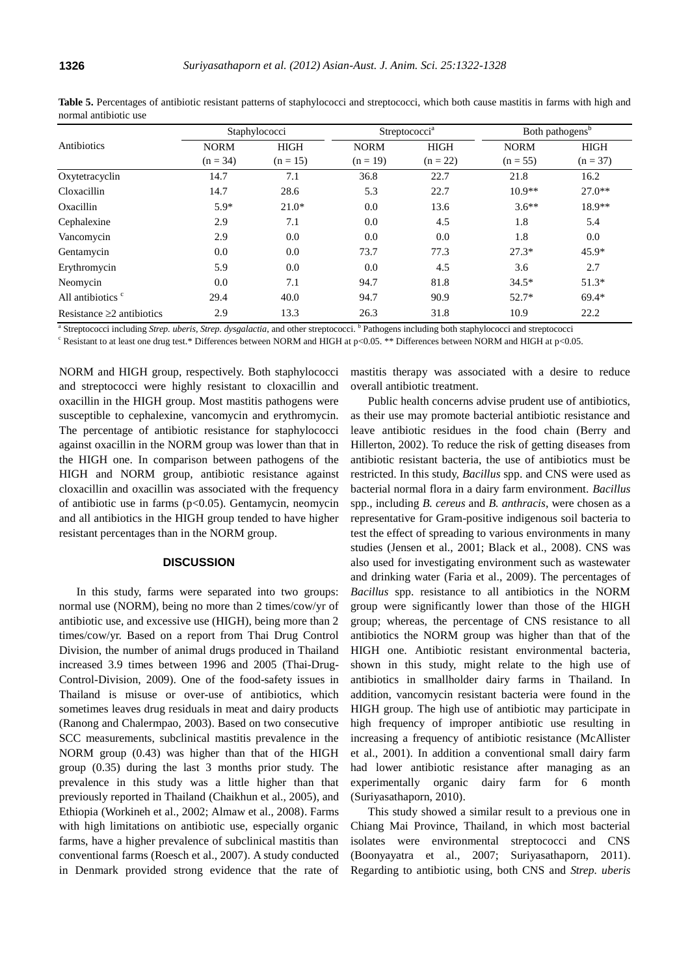|                                 |                           | Staphylococci             |                           | Streptococci <sup>a</sup> | Both pathogens <sup>b</sup> |                           |
|---------------------------------|---------------------------|---------------------------|---------------------------|---------------------------|-----------------------------|---------------------------|
| Antibiotics                     | <b>NORM</b><br>$(n = 34)$ | <b>HIGH</b><br>$(n = 15)$ | <b>NORM</b><br>$(n = 19)$ | <b>HIGH</b><br>$(n = 22)$ | <b>NORM</b><br>$(n = 55)$   | <b>HIGH</b><br>$(n = 37)$ |
| Oxytetracyclin                  | 14.7                      | 7.1                       | 36.8                      | 22.7                      | 21.8                        | 16.2                      |
| Cloxacillin                     | 14.7                      | 28.6                      | 5.3                       | 22.7                      | $10.9**$                    | $27.0**$                  |
| Oxacillin                       | $5.9*$                    | $21.0*$                   | 0.0                       | 13.6                      | $3.6**$                     | 18.9**                    |
| Cephalexine                     | 2.9                       | 7.1                       | 0.0                       | 4.5                       | 1.8                         | 5.4                       |
| Vancomycin                      | 2.9                       | 0.0                       | 0.0                       | 0.0                       | 1.8                         | 0.0                       |
| Gentamycin                      | 0.0                       | 0.0                       | 73.7                      | 77.3                      | $27.3*$                     | $45.9*$                   |
| Erythromycin                    | 5.9                       | 0.0                       | 0.0                       | 4.5                       | 3.6                         | 2.7                       |
| Neomycin                        | 0.0                       | 7.1                       | 94.7                      | 81.8                      | $34.5*$                     | $51.3*$                   |
| All antibiotics <sup>c</sup>    | 29.4                      | 40.0                      | 94.7                      | 90.9                      | $52.7*$                     | $69.4*$                   |
| Resistance $\geq 2$ antibiotics | 2.9                       | 13.3                      | 26.3                      | 31.8                      | 10.9                        | 22.2                      |

Table 5. Percentages of antibiotic resistant patterns of staphylococci and streptococci, which both cause mastitis in farms with high and normal antibiotic use

<sup>a</sup> Streptococci including Strep. uberis, Strep. dysgalactia, and other streptococci. <sup>b</sup> Pathogens including both staphylococci and streptococci

<sup>c</sup> Resistant to at least one drug test.\* Differences between NORM and HIGH at p<0.05. \*\* Differences between NORM and HIGH at p<0.05.

NORM and HIGH group, respectively. Both staphylococci and streptococci were highly resistant to cloxacillin and oxacillin in the HIGH group. Most mastitis pathogens were susceptible to cephalexine, vancomycin and erythromycin. The percentage of antibiotic resistance for staphylococci against oxacillin in the NORM group was lower than that in the HIGH one. In comparison between pathogens of the HIGH and NORM group, antibiotic resistance against cloxacillin and oxacillin was associated with the frequency of antibiotic use in farms (p<0.05). Gentamycin, neomycin and all antibiotics in the HIGH group tended to have higher resistant percentages than in the NORM group.

# **DISCUSSION**

In this study, farms were separated into two groups: normal use (NORM), being no more than 2 times/cow/yr of antibiotic use, and excessive use (HIGH), being more than 2 times/cow/yr. Based on a report from Thai Drug Control Division, the number of animal drugs produced in Thailand increased 3.9 times between 1996 and 2005 (Thai-Drug-Control-Division, 2009). One of the food-safety issues in Thailand is misuse or over-use of antibiotics, which sometimes leaves drug residuals in meat and dairy products (Ranong and Chalermpao, 2003). Based on two consecutive SCC measurements, subclinical mastitis prevalence in the NORM group (0.43) was higher than that of the HIGH group (0.35) during the last 3 months prior study. The prevalence in this study was a little higher than that previously reported in Thailand (Chaikhun et al., 2005), and Ethiopia (Workineh et al., 2002; Almaw et al., 2008). Farms with high limitations on antibiotic use, especially organic farms, have a higher prevalence of subclinical mastitis than conventional farms (Roesch et al., 2007). A study conducted in Denmark provided strong evidence that the rate of

mastitis therapy was associated with a desire to reduce overall antibiotic treatment.

Public health concerns advise prudent use of antibiotics, as their use may promote bacterial antibiotic resistance and leave antibiotic residues in the food chain (Berry and Hillerton, 2002). To reduce the risk of getting diseases from antibiotic resistant bacteria, the use of antibiotics must be restricted. In this study, *Bacillus* spp. and CNS were used as bacterial normal flora in a dairy farm environment. *Bacillus*  spp., including *B. cereus* and *B. anthracis*, were chosen as a representative for Gram-positive indigenous soil bacteria to test the effect of spreading to various environments in many studies (Jensen et al., 2001; Black et al., 2008). CNS was also used for investigating environment such as wastewater and drinking water (Faria et al., 2009). The percentages of *Bacillus* spp. resistance to all antibiotics in the NORM group were significantly lower than those of the HIGH group; whereas, the percentage of CNS resistance to all antibiotics the NORM group was higher than that of the HIGH one. Antibiotic resistant environmental bacteria, shown in this study, might relate to the high use of antibiotics in smallholder dairy farms in Thailand. In addition, vancomycin resistant bacteria were found in the HIGH group. The high use of antibiotic may participate in high frequency of improper antibiotic use resulting in increasing a frequency of antibiotic resistance (McAllister et al., 2001). In addition a conventional small dairy farm had lower antibiotic resistance after managing as an experimentally organic dairy farm for 6 month (Suriyasathaporn, 2010).

This study showed a similar result to a previous one in Chiang Mai Province, Thailand, in which most bacterial isolates were environmental streptococci and CNS (Boonyayatra et al., 2007; Suriyasathaporn, 2011). Regarding to antibiotic using, both CNS and *Strep. uberis*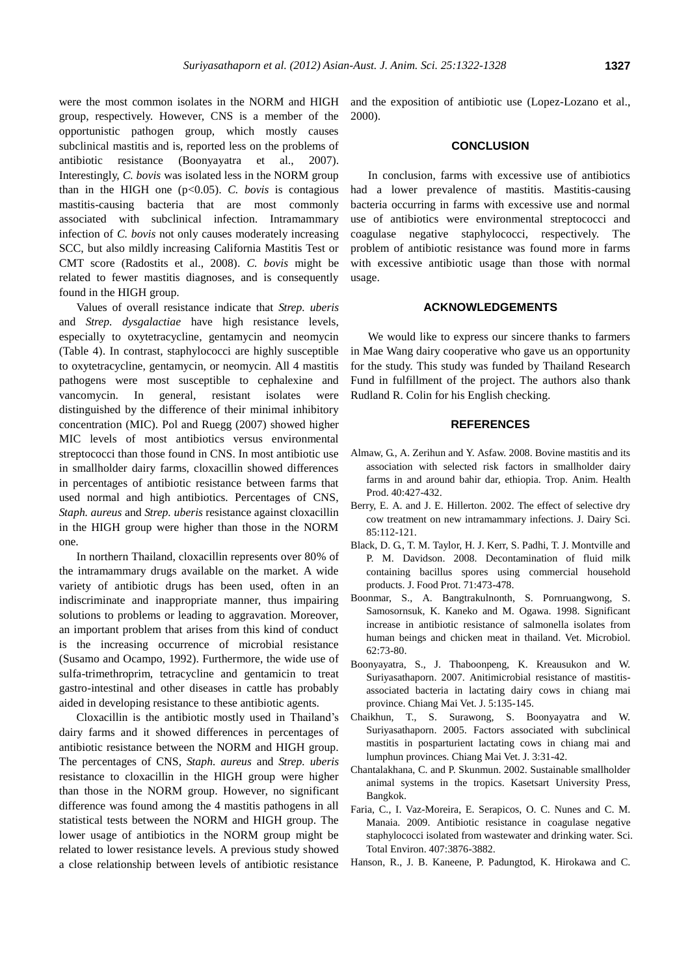were the most common isolates in the NORM and HIGH group, respectively. However, CNS is a member of the opportunistic pathogen group, which mostly causes subclinical mastitis and is, reported less on the problems of antibiotic resistance (Boonyayatra et al., 2007). Interestingly, *C. bovis* was isolated less in the NORM group than in the HIGH one  $(p<0.05)$ . *C. bovis* is contagious mastitis-causing bacteria that are most commonly associated with subclinical infection. Intramammary infection of *C. bovis* not only causes moderately increasing SCC, but also mildly increasing California Mastitis Test or CMT score (Radostits et al., 2008). *C. bovis* might be related to fewer mastitis diagnoses, and is consequently found in the HIGH group.

Values of overall resistance indicate that *Strep. uberis* and *Strep. dysgalactiae* have high resistance levels, especially to oxytetracycline, gentamycin and neomycin (Table 4). In contrast, staphylococci are highly susceptible to oxytetracycline, gentamycin, or neomycin. All 4 mastitis pathogens were most susceptible to cephalexine and vancomycin. In general, resistant isolates were distinguished by the difference of their minimal inhibitory concentration (MIC). Pol and Ruegg (2007) showed higher MIC levels of most antibiotics versus environmental streptococci than those found in CNS. In most antibiotic use in smallholder dairy farms, cloxacillin showed differences in percentages of antibiotic resistance between farms that used normal and high antibiotics. Percentages of CNS, *Staph. aureus* and *Strep. uberis* resistance against cloxacillin in the HIGH group were higher than those in the NORM one.

In northern Thailand, cloxacillin represents over 80% of the intramammary drugs available on the market. A wide variety of antibiotic drugs has been used, often in an indiscriminate and inappropriate manner, thus impairing solutions to problems or leading to aggravation. Moreover, an important problem that arises from this kind of conduct is the increasing occurrence of microbial resistance (Susamo and Ocampo, 1992). Furthermore, the wide use of sulfa-trimethroprim, tetracycline and gentamicin to treat gastro-intestinal and other diseases in cattle has probably aided in developing resistance to these antibiotic agents.

Cloxacillin is the antibiotic mostly used in Thailand's dairy farms and it showed differences in percentages of antibiotic resistance between the NORM and HIGH group. The percentages of CNS, *Staph. aureus* and *Strep. uberis* resistance to cloxacillin in the HIGH group were higher than those in the NORM group. However, no significant difference was found among the 4 mastitis pathogens in all statistical tests between the NORM and HIGH group. The lower usage of antibiotics in the NORM group might be related to lower resistance levels. A previous study showed a close relationship between levels of antibiotic resistance and the exposition of antibiotic use (Lopez-Lozano et al., 2000).

### **CONCLUSION**

In conclusion, farms with excessive use of antibiotics had a lower prevalence of mastitis. Mastitis-causing bacteria occurring in farms with excessive use and normal use of antibiotics were environmental streptococci and coagulase negative staphylococci, respectively. The problem of antibiotic resistance was found more in farms with excessive antibiotic usage than those with normal usage.

#### **ACKNOWLEDGEMENTS**

We would like to express our sincere thanks to farmers in Mae Wang dairy cooperative who gave us an opportunity for the study. This study was funded by Thailand Research Fund in fulfillment of the project. The authors also thank Rudland R. Colin for his English checking.

#### **REFERENCES**

- Almaw, G., A. Zerihun and Y. Asfaw. 2008. Bovine mastitis and its association with selected risk factors in smallholder dairy farms in and around bahir dar, ethiopia. Trop. Anim. Health Prod. 40:427-432.
- Berry, E. A. and J. E. Hillerton. 2002. The effect of selective dry cow treatment on new intramammary infections. J. Dairy Sci. 85:112-121.
- Black, D. G., T. M. Taylor, H. J. Kerr, S. Padhi, T. J. Montville and P. M. Davidson. 2008. Decontamination of fluid milk containing bacillus spores using commercial household products. J. Food Prot. 71:473-478.
- Boonmar, S., A. Bangtrakulnonth, S. Pornruangwong, S. Samosornsuk, K. Kaneko and M. Ogawa. 1998. Significant increase in antibiotic resistance of salmonella isolates from human beings and chicken meat in thailand. Vet. Microbiol. 62:73-80.
- Boonyayatra, S., J. Thaboonpeng, K. Kreausukon and W. Suriyasathaporn. 2007. Anitimicrobial resistance of mastitisassociated bacteria in lactating dairy cows in chiang mai province. Chiang Mai Vet. J. 5:135-145.
- Chaikhun, T., S. Surawong, S. Boonyayatra and W. Suriyasathaporn. 2005. Factors associated with subclinical mastitis in posparturient lactating cows in chiang mai and lumphun provinces. Chiang Mai Vet. J. 3:31-42.
- Chantalakhana, C. and P. Skunmun. 2002. Sustainable smallholder animal systems in the tropics. Kasetsart University Press, Bangkok.
- Faria, C., I. Vaz-Moreira, E. Serapicos, O. C. Nunes and C. M. Manaia. 2009. Antibiotic resistance in coagulase negative staphylococci isolated from wastewater and drinking water. Sci. Total Environ. 407:3876-3882.
- Hanson, R., J. B. Kaneene, P. Padungtod, K. Hirokawa and C.